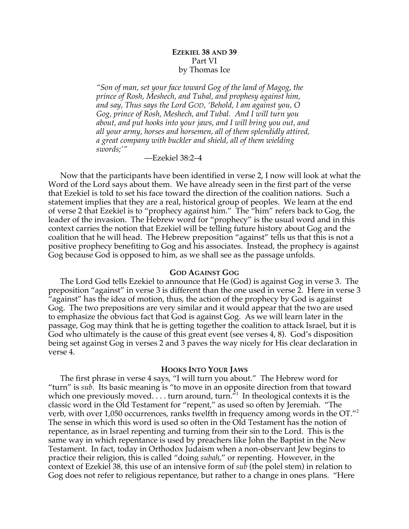# **EZEKIEL 38 AND 39** Part VI by Thomas Ice

*"Son of man, set your face toward Gog of the land of Magog, the prince of Rosh, Meshech, and Tubal, and prophesy against him, and say, Thus says the Lord GOD, 'Behold, I am against you, O Gog, prince of Rosh, Meshech, and Tubal. And I will turn you about, and put hooks into your jaws, and I will bring you out, and all your army, horses and horsemen, all of them splendidly attired, a great company with buckler and shield, all of them wielding swords;'"*

—Ezekiel 38:2–4

Now that the participants have been identified in verse 2, I now will look at what the Word of the Lord says about them. We have already seen in the first part of the verse that Ezekiel is told to set his face toward the direction of the coalition nations. Such a statement implies that they are a real, historical group of peoples. We learn at the end of verse 2 that Ezekiel is to "prophecy against him." The "him" refers back to Gog, the leader of the invasion. The Hebrew word for "prophecy" is the usual word and in this context carries the notion that Ezekiel will be telling future history about Gog and the coalition that he will head. The Hebrew preposition "against" tells us that this is not a positive prophecy benefiting to Gog and his associates. Instead, the prophecy is against Gog because God is opposed to him, as we shall see as the passage unfolds.

### **GOD AGAINST GOG**

The Lord God tells Ezekiel to announce that He (God) is against Gog in verse 3. The preposition "against" in verse 3 is different than the one used in verse 2. Here in verse 3 "against" has the idea of motion, thus, the action of the prophecy by God is against Gog. The two prepositions are very similar and it would appear that the two are used to emphasize the obvious fact that God is against Gog. As we will learn later in the passage, Gog may think that he is getting together the coalition to attack Israel, but it is God who ultimately is the cause of this great event (see verses 4, 8). God's disposition being set against Gog in verses 2 and 3 paves the way nicely for His clear declaration in verse 4.

#### **HOOKS INTO YOUR JAWS**

The first phrase in verse 4 says, "I will turn you about." The Hebrew word for "turn" is *sub*. Its basic meaning is "to move in an opposite direction from that toward which one previously moved. . . . turn around, turn.<sup> $n_1$ </sup> In theological contexts it is the classic word in the Old Testament for "repent," as used so often by Jeremiah. "The verb, with over 1,050 occurrences, ranks twelfth in frequency among words in the OT."2 The sense in which this word is used so often in the Old Testament has the notion of repentance, as in Israel repenting and turning from their sin to the Lord. This is the same way in which repentance is used by preachers like John the Baptist in the New Testament. In fact, today in Orthodox Judaism when a non-observant Jew begins to practice their religion, this is called "doing *subah*," or repenting. However, in the context of Ezekiel 38, this use of an intensive form of *sub* (the polel stem) in relation to Gog does not refer to religious repentance, but rather to a change in ones plans. "Here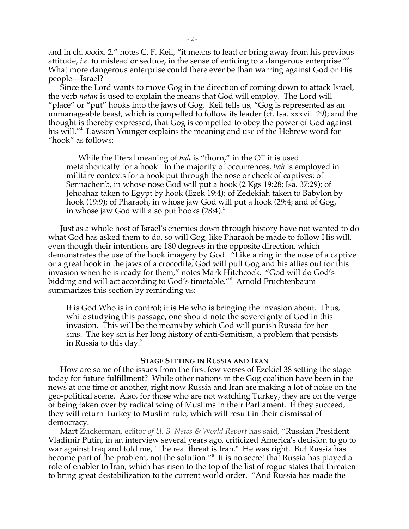and in ch. xxxix. 2," notes C. F. Keil, "it means to lead or bring away from his previous attitude, *i.e*. to mislead or seduce, in the sense of enticing to a dangerous enterprise."3 What more dangerous enterprise could there ever be than warring against God or His people—Israel?

Since the Lord wants to move Gog in the direction of coming down to attack Israel, the verb *natan* is used to explain the means that God will employ. The Lord will "place" or "put" hooks into the jaws of Gog. Keil tells us, "Gog is represented as an unmanageable beast, which is compelled to follow its leader (cf. Isa. xxxvii. 29); and the thought is thereby expressed, that Gog is compelled to obey the power of God against his will."4 Lawson Younger explains the meaning and use of the Hebrew word for "hook" as follows:

While the literal meaning of *hah* is "thorn," in the OT it is used metaphorically for a hook. In the majority of occurrences, *hah* is employed in military contexts for a hook put through the nose or cheek of captives: of Sennacherib, in whose nose God will put a hook (2 Kgs 19:28; Isa. 37:29); of Jehoahaz taken to Egypt by hook (Ezek 19:4); of Zedekiah taken to Babylon by hook (19:9); of Pharaoh, in whose jaw God will put a hook (29:4; and of Gog, in whose jaw God will also put hooks  $(28:4).5$ 

Just as a whole host of Israel's enemies down through history have not wanted to do what God has asked them to do, so will Gog, like Pharaoh be made to follow His will, even though their intentions are 180 degrees in the opposite direction, which demonstrates the use of the hook imagery by God. "Like a ring in the nose of a captive or a great hook in the jaws of a crocodile, God will pull Gog and his allies out for this invasion when he is ready for them," notes Mark Hitchcock. "God will do God's bidding and will act according to God's timetable."<sup>6</sup> Arnold Fruchtenbaum summarizes this section by reminding us:

It is God Who is in control; it is He who is bringing the invasion about. Thus, while studying this passage, one should note the sovereignty of God in this invasion. This will be the means by which God will punish Russia for her sins. The key sin is her long history of anti-Semitism, a problem that persists in Russia to this day.<sup>7</sup>

#### **STAGE SETTING IN RUSSIA AND IRAN**

How are some of the issues from the first few verses of Ezekiel 38 setting the stage today for future fulfillment? While other nations in the Gog coalition have been in the news at one time or another, right now Russia and Iran are making a lot of noise on the geo-political scene. Also, for those who are not watching Turkey, they are on the verge of being taken over by radical wing of Muslims in their Parliament. If they succeed, they will return Turkey to Muslim rule, which will result in their dismissal of democracy.

Mart Zuckerman, editor *of U. S. News & World Report* has said, "Russian President Vladimir Putin, in an interview several years ago, criticized America's decision to go to war against Iraq and told me, "The real threat is Iran." He was right. But Russia has become part of the problem, not the solution."8 It is no secret that Russia has played a role of enabler to Iran, which has risen to the top of the list of rogue states that threaten to bring great destabilization to the current world order. "And Russia has made the